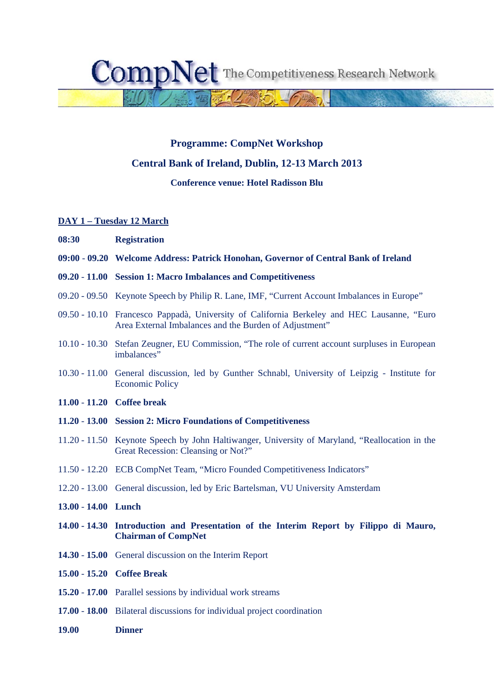CompN The Competitiveness Research Network

## **Programme: CompNet Workshop**

## **Central Bank of Ireland, Dublin, 12-13 March 2013**

### **Conference venue: Hotel Radisson Blu**

#### **DAY 1 – Tuesday 12 March**

- **08:30 Registration**
- **09:00 09.20 Welcome Address: Patrick Honohan, Governor of Central Bank of Ireland**
- **09.20 11.00 Session 1: Macro Imbalances and Competitiveness**
- 09.20 09.50 Keynote Speech by Philip R. Lane, IMF, "Current Account Imbalances in Europe"
- 09.50 10.10 Francesco Pappadà, University of California Berkeley and HEC Lausanne, "Euro Area External Imbalances and the Burden of Adjustment"
- 10.10 10.30 Stefan Zeugner, EU Commission, "The role of current account surpluses in European imbalances"
- 10.30 11.00 General discussion, led by Gunther Schnabl, University of Leipzig Institute for Economic Policy
- **11.00 11.20 Coffee break**
- **11.20 13.00 Session 2: Micro Foundations of Competitiveness**
- 11.20 11.50 Keynote Speech by John Haltiwanger, University of Maryland, "Reallocation in the Great Recession: Cleansing or Not?"
- 11.50 12.20 ECB CompNet Team, "Micro Founded Competitiveness Indicators"
- 12.20 13.00 General discussion, led by Eric Bartelsman, VU University Amsterdam
- **13.00 14.00 Lunch**
- **14.00 14.30 Introduction and Presentation of the Interim Report by Filippo di Mauro, Chairman of CompNet**
- **14.30 15.00** General discussion on the Interim Report
- **15.00 15.20 Coffee Break**
- **15.20 17.00** Parallel sessions by individual work streams
- **17.00 18.00** Bilateral discussions for individual project coordination
- **19.00 Dinner**